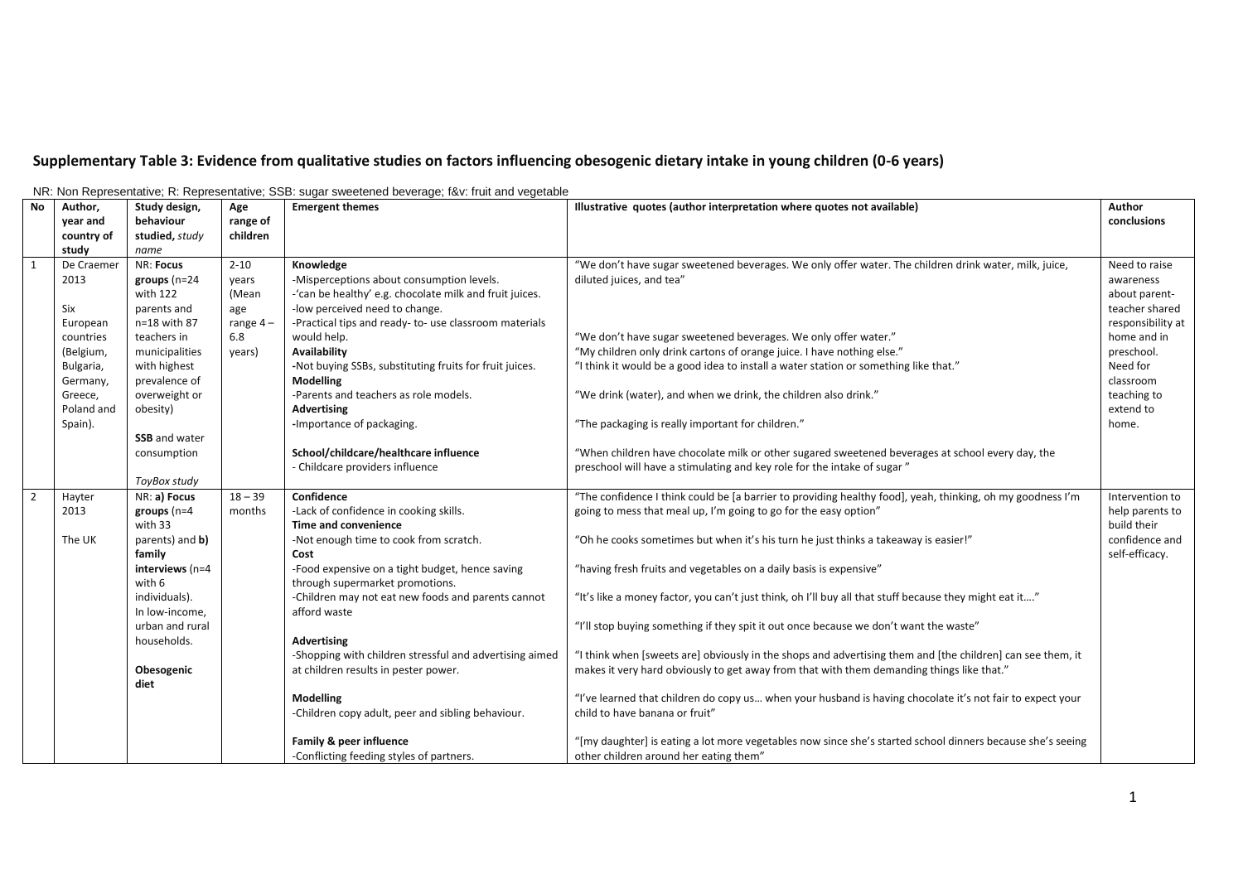## **Supplementary Table 3: Evidence from qualitative studies on factors influencing obesogenic dietary intake in young children (0-6 years)**

| <b>No</b>      | Author,    | Study design,             | Age        | TVR. TV011 Representative, R. Representative, SSD. Sugar Sweetened Deverage, T&V. Truit and vegetable<br><b>Emergent themes</b> | Illustrative quotes (author interpretation where quotes not available)                                     | Author            |
|----------------|------------|---------------------------|------------|---------------------------------------------------------------------------------------------------------------------------------|------------------------------------------------------------------------------------------------------------|-------------------|
|                | year and   | behaviour                 | range of   |                                                                                                                                 |                                                                                                            | conclusions       |
|                | country of | studied, study            | children   |                                                                                                                                 |                                                                                                            |                   |
|                | study      | name                      |            |                                                                                                                                 |                                                                                                            |                   |
| $\overline{1}$ | De Craemer | NR: Focus                 | $2 - 10$   | Knowledge                                                                                                                       | "We don't have sugar sweetened beverages. We only offer water. The children drink water, milk, juice,      | Need to raise     |
|                | 2013       | groups $(n=24)$           | vears      | -Misperceptions about consumption levels.                                                                                       | diluted juices, and tea"                                                                                   | awareness         |
|                |            | with 122                  | (Mean      | -'can be healthy' e.g. chocolate milk and fruit juices.                                                                         |                                                                                                            | about parent-     |
|                | Six        | parents and               | age        | -low perceived need to change.                                                                                                  |                                                                                                            | teacher shared    |
|                | European   | n=18 with 87              | range $4-$ | -Practical tips and ready- to- use classroom materials                                                                          |                                                                                                            | responsibility at |
|                | countries  | teachers in               | 6.8        | would help.                                                                                                                     | "We don't have sugar sweetened beverages. We only offer water."                                            | home and in       |
|                | (Belgium,  | municipalities            | years)     | <b>Availability</b>                                                                                                             | "My children only drink cartons of orange juice. I have nothing else."                                     | preschool.        |
|                | Bulgaria,  | with highest              |            | -Not buying SSBs, substituting fruits for fruit juices.                                                                         | "I think it would be a good idea to install a water station or something like that."                       | Need for          |
|                | Germany,   | prevalence of             |            | Modelling                                                                                                                       |                                                                                                            | classroom         |
|                | Greece,    | overweight or             |            | -Parents and teachers as role models.                                                                                           | "We drink (water), and when we drink, the children also drink."                                            | teaching to       |
|                | Poland and | obesity)                  |            | <b>Advertising</b>                                                                                                              |                                                                                                            | extend to         |
|                | Spain).    |                           |            | -Importance of packaging.                                                                                                       | "The packaging is really important for children."                                                          | home.             |
|                |            | <b>SSB</b> and water      |            |                                                                                                                                 |                                                                                                            |                   |
|                |            | consumption               |            | School/childcare/healthcare influence                                                                                           | "When children have chocolate milk or other sugared sweetened beverages at school every day, the           |                   |
|                |            |                           |            | - Childcare providers influence                                                                                                 | preschool will have a stimulating and key role for the intake of sugar"                                    |                   |
|                |            | ToyBox study              |            |                                                                                                                                 |                                                                                                            |                   |
|                | Hayter     | NR: a) Focus              | $18 - 39$  | Confidence                                                                                                                      | "The confidence I think could be [a barrier to providing healthy food], yeah, thinking, oh my goodness I'm | Intervention to   |
|                | 2013       | groups $(n=4)$            | months     | -Lack of confidence in cooking skills.                                                                                          | going to mess that meal up, I'm going to go for the easy option"                                           | help parents to   |
|                |            | with 33                   |            | Time and convenience                                                                                                            |                                                                                                            | build their       |
|                | The UK     | parents) and <b>b</b> )   |            | -Not enough time to cook from scratch.                                                                                          | "Oh he cooks sometimes but when it's his turn he just thinks a takeaway is easier!"                        | confidence and    |
|                |            | family                    |            | Cost                                                                                                                            | "having fresh fruits and vegetables on a daily basis is expensive"                                         | self-efficacy.    |
|                |            | interviews (n=4<br>with 6 |            | -Food expensive on a tight budget, hence saving<br>through supermarket promotions.                                              |                                                                                                            |                   |
|                |            | individuals).             |            | -Children may not eat new foods and parents cannot                                                                              | "It's like a money factor, you can't just think, oh I'll buy all that stuff because they might eat it"     |                   |
|                |            | In low-income,            |            | afford waste                                                                                                                    |                                                                                                            |                   |
|                |            | urban and rural           |            |                                                                                                                                 | "I'll stop buying something if they spit it out once because we don't want the waste"                      |                   |
|                |            | households.               |            | Advertising                                                                                                                     |                                                                                                            |                   |
|                |            |                           |            | -Shopping with children stressful and advertising aimed                                                                         | "I think when [sweets are] obviously in the shops and advertising them and [the children] can see them, it |                   |
|                |            | Obesogenic                |            | at children results in pester power.                                                                                            | makes it very hard obviously to get away from that with them demanding things like that."                  |                   |
|                |            | diet                      |            |                                                                                                                                 |                                                                                                            |                   |
|                |            |                           |            | Modelling                                                                                                                       | "I've learned that children do copy us when your husband is having chocolate it's not fair to expect your  |                   |
|                |            |                           |            | -Children copy adult, peer and sibling behaviour.                                                                               | child to have banana or fruit"                                                                             |                   |
|                |            |                           |            |                                                                                                                                 |                                                                                                            |                   |
|                |            |                           |            | Family & peer influence                                                                                                         | "[my daughter] is eating a lot more vegetables now since she's started school dinners because she's seeing |                   |
|                |            |                           |            | -Conflicting feeding styles of partners.                                                                                        | other children around her eating them"                                                                     |                   |

NR: Non Representative; R: Representative; SSB: sugar sweetened beverage; f&v: fruit and vegetable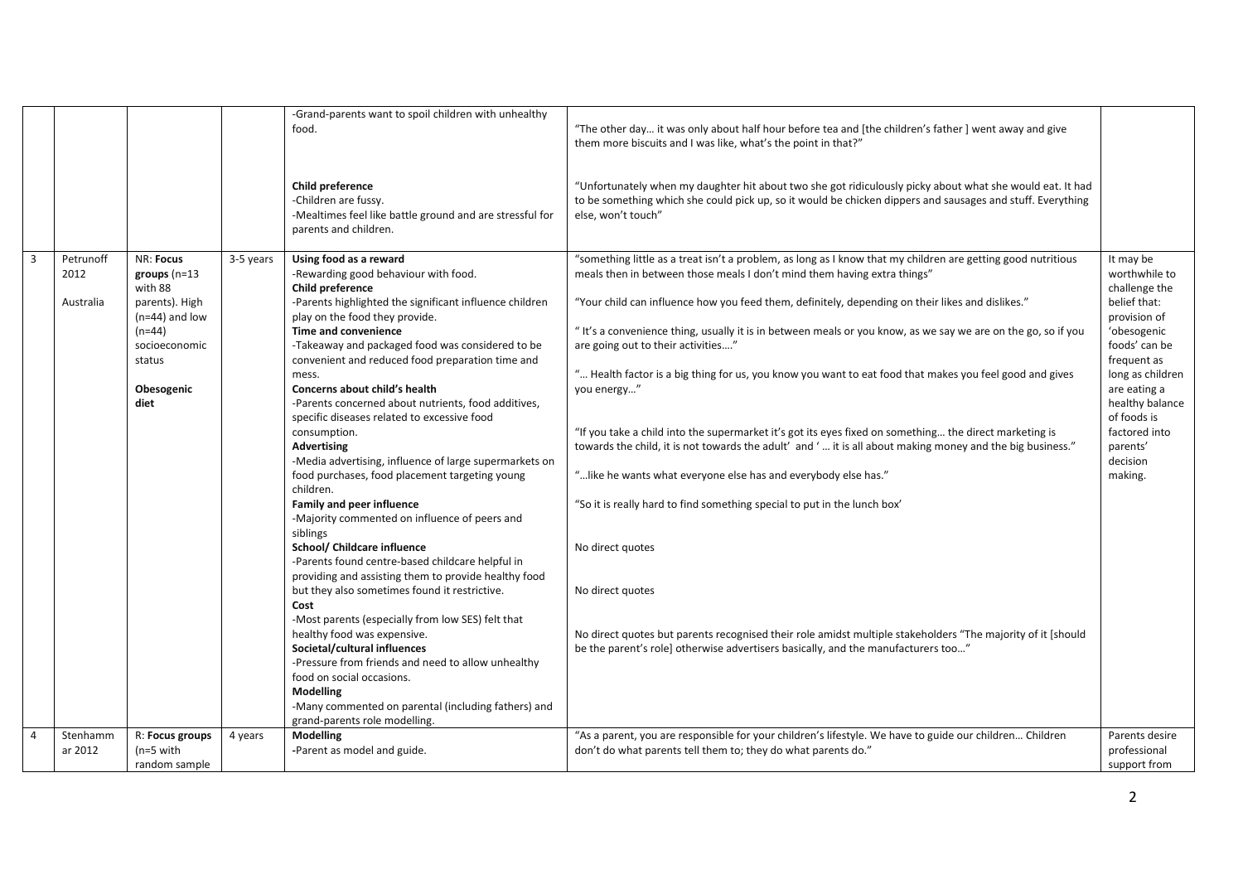|                |                                |                                                                                                                                                   |           | -Grand-parents want to spoil children with unhealthy<br>food.<br>Child preference<br>-Children are fussy.                                                                                                                                                                                                                                                                                                                                                                                                                                                                                                                                                                                                                  | "The other day it was only about half hour before tea and [the children's father] went away and give<br>them more biscuits and I was like, what's the point in that?"<br>"Unfortunately when my daughter hit about two she got ridiculously picky about what she would eat. It had<br>to be something which she could pick up, so it would be chicken dippers and sausages and stuff. Everything                                                                                                                                                                                                                                                                                                                                                                                                                                                                                                                                                    |                                                                                                                                                                                                                                                      |
|----------------|--------------------------------|---------------------------------------------------------------------------------------------------------------------------------------------------|-----------|----------------------------------------------------------------------------------------------------------------------------------------------------------------------------------------------------------------------------------------------------------------------------------------------------------------------------------------------------------------------------------------------------------------------------------------------------------------------------------------------------------------------------------------------------------------------------------------------------------------------------------------------------------------------------------------------------------------------------|-----------------------------------------------------------------------------------------------------------------------------------------------------------------------------------------------------------------------------------------------------------------------------------------------------------------------------------------------------------------------------------------------------------------------------------------------------------------------------------------------------------------------------------------------------------------------------------------------------------------------------------------------------------------------------------------------------------------------------------------------------------------------------------------------------------------------------------------------------------------------------------------------------------------------------------------------------|------------------------------------------------------------------------------------------------------------------------------------------------------------------------------------------------------------------------------------------------------|
|                |                                |                                                                                                                                                   |           | -Mealtimes feel like battle ground and are stressful for<br>parents and children.                                                                                                                                                                                                                                                                                                                                                                                                                                                                                                                                                                                                                                          | else, won't touch"                                                                                                                                                                                                                                                                                                                                                                                                                                                                                                                                                                                                                                                                                                                                                                                                                                                                                                                                  |                                                                                                                                                                                                                                                      |
| $\overline{3}$ | Petrunoff<br>2012<br>Australia | <b>NR: Focus</b><br>groups $(n=13)$<br>with 88<br>parents). High<br>$(n=44)$ and low<br>$(n=44)$<br>socioeconomic<br>status<br>Obesogenic<br>diet | 3-5 years | Using food as a reward<br>-Rewarding good behaviour with food.<br><b>Child preference</b><br>-Parents highlighted the significant influence children<br>play on the food they provide.<br>Time and convenience<br>-Takeaway and packaged food was considered to be<br>convenient and reduced food preparation time and<br>mess.<br>Concerns about child's health<br>-Parents concerned about nutrients, food additives,<br>specific diseases related to excessive food<br>consumption.<br><b>Advertising</b><br>-Media advertising, influence of large supermarkets on<br>food purchases, food placement targeting young<br>children.<br><b>Family and peer influence</b><br>-Majority commented on influence of peers and | "something little as a treat isn't a problem, as long as I know that my children are getting good nutritious<br>meals then in between those meals I don't mind them having extra things"<br>"Your child can influence how you feed them, definitely, depending on their likes and dislikes."<br>" It's a convenience thing, usually it is in between meals or you know, as we say we are on the go, so if you<br>are going out to their activities"<br>" Health factor is a big thing for us, you know you want to eat food that makes you feel good and gives<br>you energy"<br>"If you take a child into the supermarket it's got its eyes fixed on something the direct marketing is<br>towards the child, it is not towards the adult' and ' it is all about making money and the big business."<br>" like he wants what everyone else has and everybody else has."<br>"So it is really hard to find something special to put in the lunch box" | It may be<br>worthwhile to<br>challenge the<br>belief that:<br>provision of<br>'obesogenic<br>foods' can be<br>frequent as<br>long as children<br>are eating a<br>healthy balance<br>of foods is<br>factored into<br>parents'<br>decision<br>making. |
|                |                                |                                                                                                                                                   |           | siblings<br>School/ Childcare influence<br>-Parents found centre-based childcare helpful in<br>providing and assisting them to provide healthy food<br>but they also sometimes found it restrictive.<br>Cost<br>-Most parents (especially from low SES) felt that<br>healthy food was expensive.<br>Societal/cultural influences<br>-Pressure from friends and need to allow unhealthy<br>food on social occasions.<br><b>Modelling</b><br>-Many commented on parental (including fathers) and                                                                                                                                                                                                                             | No direct quotes<br>No direct quotes<br>No direct quotes but parents recognised their role amidst multiple stakeholders "The majority of it [should<br>be the parent's role] otherwise advertisers basically, and the manufacturers too"                                                                                                                                                                                                                                                                                                                                                                                                                                                                                                                                                                                                                                                                                                            |                                                                                                                                                                                                                                                      |
| $\overline{4}$ | Stenhamm                       | R: Focus groups                                                                                                                                   | 4 years   | grand-parents role modelling.<br><b>Modelling</b>                                                                                                                                                                                                                                                                                                                                                                                                                                                                                                                                                                                                                                                                          | "As a parent, you are responsible for your children's lifestyle. We have to guide our children Children                                                                                                                                                                                                                                                                                                                                                                                                                                                                                                                                                                                                                                                                                                                                                                                                                                             | Parents desire                                                                                                                                                                                                                                       |
|                | ar 2012                        | $(n=5$ with<br>random sample                                                                                                                      |           | -Parent as model and guide.                                                                                                                                                                                                                                                                                                                                                                                                                                                                                                                                                                                                                                                                                                | don't do what parents tell them to; they do what parents do."                                                                                                                                                                                                                                                                                                                                                                                                                                                                                                                                                                                                                                                                                                                                                                                                                                                                                       | professional<br>support from                                                                                                                                                                                                                         |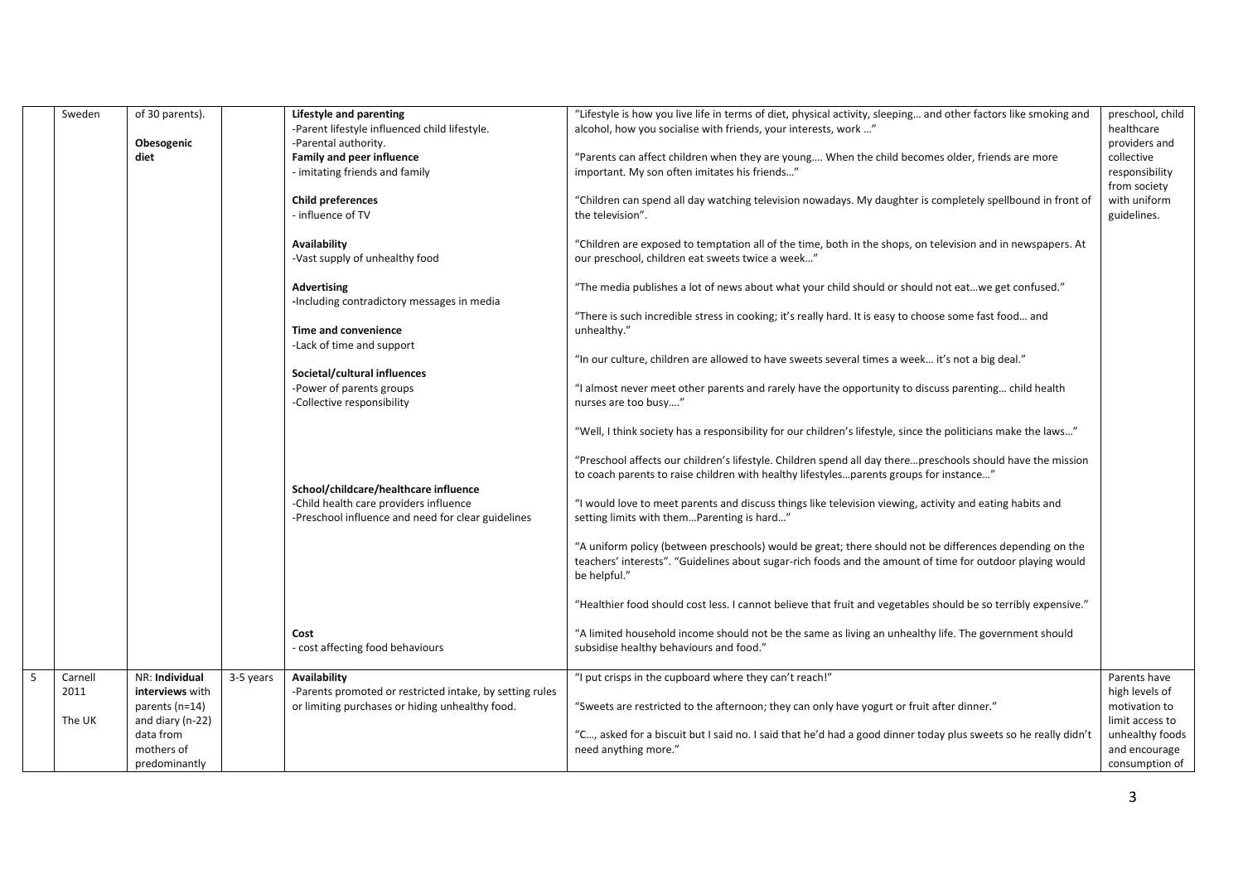| "Lifestyle is how you live life in terms of diet, physical activity, sleeping and other factors like smoking and<br>Sweden<br>of 30 parents).<br>Lifestyle and parenting<br>alcohol, how you socialise with friends, your interests, work "<br>-Parent lifestyle influenced child lifestyle.<br>healthcare<br>Obesogenic<br>-Parental authority.<br>providers and<br>diet<br>Family and peer influence<br>"Parents can affect children when they are young When the child becomes older, friends are more<br>collective<br>- imitating friends and family<br>important. My son often imitates his friends"<br>responsibility<br>from society<br>with uniform<br><b>Child preferences</b><br>"Children can spend all day watching television nowadays. My daughter is completely spellbound in front of<br>- influence of TV<br>the television".<br>guidelines.<br><b>Availability</b><br>"Children are exposed to temptation all of the time, both in the shops, on television and in newspapers. At<br>our preschool, children eat sweets twice a week"<br>-Vast supply of unhealthy food<br>"The media publishes a lot of news about what your child should or should not eatwe get confused."<br>Advertising<br>-Including contradictory messages in media<br>"There is such incredible stress in cooking; it's really hard. It is easy to choose some fast food and<br>Time and convenience<br>unhealthy."<br>-Lack of time and support<br>"In our culture, children are allowed to have sweets several times a week it's not a big deal."<br>Societal/cultural influences<br>-Power of parents groups<br>"I almost never meet other parents and rarely have the opportunity to discuss parenting child health<br>-Collective responsibility<br>nurses are too busy"<br>"Well, I think society has a responsibility for our children's lifestyle, since the politicians make the laws"<br>"Preschool affects our children's lifestyle. Children spend all day therepreschools should have the mission<br>to coach parents to raise children with healthy lifestylesparents groups for instance"<br>School/childcare/healthcare influence<br>-Child health care providers influence<br>"I would love to meet parents and discuss things like television viewing, activity and eating habits and<br>-Preschool influence and need for clear guidelines<br>setting limits with themParenting is hard"<br>"A uniform policy (between preschools) would be great; there should not be differences depending on the<br>teachers' interests". "Guidelines about sugar-rich foods and the amount of time for outdoor playing would<br>be helpful."<br>"Healthier food should cost less. I cannot believe that fruit and vegetables should be so terribly expensive."<br>"A limited household income should not be the same as living an unhealthy life. The government should<br>Cost<br>- cost affecting food behaviours<br>subsidise healthy behaviours and food."<br>5<br>NR: Individual<br>Availability<br>"I put crisps in the cupboard where they can't reach!"<br>Carnell<br>3-5 years<br>Parents have<br>2011<br>interviews with<br>-Parents promoted or restricted intake, by setting rules<br>high levels of<br>parents (n=14)<br>or limiting purchases or hiding unhealthy food.<br>"Sweets are restricted to the afternoon; they can only have yogurt or fruit after dinner."<br>motivation to<br>and diary (n-22)<br>The UK<br>limit access to<br>data from<br>"C, asked for a biscuit but I said no. I said that he'd had a good dinner today plus sweets so he really didn't<br>mothers of<br>need anything more."<br>and encourage<br>predominantly |  |  |  |                  |
|-----------------------------------------------------------------------------------------------------------------------------------------------------------------------------------------------------------------------------------------------------------------------------------------------------------------------------------------------------------------------------------------------------------------------------------------------------------------------------------------------------------------------------------------------------------------------------------------------------------------------------------------------------------------------------------------------------------------------------------------------------------------------------------------------------------------------------------------------------------------------------------------------------------------------------------------------------------------------------------------------------------------------------------------------------------------------------------------------------------------------------------------------------------------------------------------------------------------------------------------------------------------------------------------------------------------------------------------------------------------------------------------------------------------------------------------------------------------------------------------------------------------------------------------------------------------------------------------------------------------------------------------------------------------------------------------------------------------------------------------------------------------------------------------------------------------------------------------------------------------------------------------------------------------------------------------------------------------------------------------------------------------------------------------------------------------------------------------------------------------------------------------------------------------------------------------------------------------------------------------------------------------------------------------------------------------------------------------------------------------------------------------------------------------------------------------------------------------------------------------------------------------------------------------------------------------------------------------------------------------------------------------------------------------------------------------------------------------------------------------------------------------------------------------------------------------------------------------------------------------------------------------------------------------------------------------------------------------------------------------------------------------------------------------------------------------------------------------------------------------------------------------------------------------------------------------------------------------------------------------------------------------------------------------------------------------------------------------------------------------------------------------------------------------------------------------------------------------------------------------------------------------------------------------------------------------------------------------------------------------------------------------------------------------|--|--|--|------------------|
|                                                                                                                                                                                                                                                                                                                                                                                                                                                                                                                                                                                                                                                                                                                                                                                                                                                                                                                                                                                                                                                                                                                                                                                                                                                                                                                                                                                                                                                                                                                                                                                                                                                                                                                                                                                                                                                                                                                                                                                                                                                                                                                                                                                                                                                                                                                                                                                                                                                                                                                                                                                                                                                                                                                                                                                                                                                                                                                                                                                                                                                                                                                                                                                                                                                                                                                                                                                                                                                                                                                                                                                                                                                                 |  |  |  | preschool, child |
|                                                                                                                                                                                                                                                                                                                                                                                                                                                                                                                                                                                                                                                                                                                                                                                                                                                                                                                                                                                                                                                                                                                                                                                                                                                                                                                                                                                                                                                                                                                                                                                                                                                                                                                                                                                                                                                                                                                                                                                                                                                                                                                                                                                                                                                                                                                                                                                                                                                                                                                                                                                                                                                                                                                                                                                                                                                                                                                                                                                                                                                                                                                                                                                                                                                                                                                                                                                                                                                                                                                                                                                                                                                                 |  |  |  |                  |
|                                                                                                                                                                                                                                                                                                                                                                                                                                                                                                                                                                                                                                                                                                                                                                                                                                                                                                                                                                                                                                                                                                                                                                                                                                                                                                                                                                                                                                                                                                                                                                                                                                                                                                                                                                                                                                                                                                                                                                                                                                                                                                                                                                                                                                                                                                                                                                                                                                                                                                                                                                                                                                                                                                                                                                                                                                                                                                                                                                                                                                                                                                                                                                                                                                                                                                                                                                                                                                                                                                                                                                                                                                                                 |  |  |  |                  |
|                                                                                                                                                                                                                                                                                                                                                                                                                                                                                                                                                                                                                                                                                                                                                                                                                                                                                                                                                                                                                                                                                                                                                                                                                                                                                                                                                                                                                                                                                                                                                                                                                                                                                                                                                                                                                                                                                                                                                                                                                                                                                                                                                                                                                                                                                                                                                                                                                                                                                                                                                                                                                                                                                                                                                                                                                                                                                                                                                                                                                                                                                                                                                                                                                                                                                                                                                                                                                                                                                                                                                                                                                                                                 |  |  |  |                  |
|                                                                                                                                                                                                                                                                                                                                                                                                                                                                                                                                                                                                                                                                                                                                                                                                                                                                                                                                                                                                                                                                                                                                                                                                                                                                                                                                                                                                                                                                                                                                                                                                                                                                                                                                                                                                                                                                                                                                                                                                                                                                                                                                                                                                                                                                                                                                                                                                                                                                                                                                                                                                                                                                                                                                                                                                                                                                                                                                                                                                                                                                                                                                                                                                                                                                                                                                                                                                                                                                                                                                                                                                                                                                 |  |  |  |                  |
|                                                                                                                                                                                                                                                                                                                                                                                                                                                                                                                                                                                                                                                                                                                                                                                                                                                                                                                                                                                                                                                                                                                                                                                                                                                                                                                                                                                                                                                                                                                                                                                                                                                                                                                                                                                                                                                                                                                                                                                                                                                                                                                                                                                                                                                                                                                                                                                                                                                                                                                                                                                                                                                                                                                                                                                                                                                                                                                                                                                                                                                                                                                                                                                                                                                                                                                                                                                                                                                                                                                                                                                                                                                                 |  |  |  |                  |
|                                                                                                                                                                                                                                                                                                                                                                                                                                                                                                                                                                                                                                                                                                                                                                                                                                                                                                                                                                                                                                                                                                                                                                                                                                                                                                                                                                                                                                                                                                                                                                                                                                                                                                                                                                                                                                                                                                                                                                                                                                                                                                                                                                                                                                                                                                                                                                                                                                                                                                                                                                                                                                                                                                                                                                                                                                                                                                                                                                                                                                                                                                                                                                                                                                                                                                                                                                                                                                                                                                                                                                                                                                                                 |  |  |  |                  |
|                                                                                                                                                                                                                                                                                                                                                                                                                                                                                                                                                                                                                                                                                                                                                                                                                                                                                                                                                                                                                                                                                                                                                                                                                                                                                                                                                                                                                                                                                                                                                                                                                                                                                                                                                                                                                                                                                                                                                                                                                                                                                                                                                                                                                                                                                                                                                                                                                                                                                                                                                                                                                                                                                                                                                                                                                                                                                                                                                                                                                                                                                                                                                                                                                                                                                                                                                                                                                                                                                                                                                                                                                                                                 |  |  |  |                  |
|                                                                                                                                                                                                                                                                                                                                                                                                                                                                                                                                                                                                                                                                                                                                                                                                                                                                                                                                                                                                                                                                                                                                                                                                                                                                                                                                                                                                                                                                                                                                                                                                                                                                                                                                                                                                                                                                                                                                                                                                                                                                                                                                                                                                                                                                                                                                                                                                                                                                                                                                                                                                                                                                                                                                                                                                                                                                                                                                                                                                                                                                                                                                                                                                                                                                                                                                                                                                                                                                                                                                                                                                                                                                 |  |  |  |                  |
|                                                                                                                                                                                                                                                                                                                                                                                                                                                                                                                                                                                                                                                                                                                                                                                                                                                                                                                                                                                                                                                                                                                                                                                                                                                                                                                                                                                                                                                                                                                                                                                                                                                                                                                                                                                                                                                                                                                                                                                                                                                                                                                                                                                                                                                                                                                                                                                                                                                                                                                                                                                                                                                                                                                                                                                                                                                                                                                                                                                                                                                                                                                                                                                                                                                                                                                                                                                                                                                                                                                                                                                                                                                                 |  |  |  |                  |
|                                                                                                                                                                                                                                                                                                                                                                                                                                                                                                                                                                                                                                                                                                                                                                                                                                                                                                                                                                                                                                                                                                                                                                                                                                                                                                                                                                                                                                                                                                                                                                                                                                                                                                                                                                                                                                                                                                                                                                                                                                                                                                                                                                                                                                                                                                                                                                                                                                                                                                                                                                                                                                                                                                                                                                                                                                                                                                                                                                                                                                                                                                                                                                                                                                                                                                                                                                                                                                                                                                                                                                                                                                                                 |  |  |  |                  |
|                                                                                                                                                                                                                                                                                                                                                                                                                                                                                                                                                                                                                                                                                                                                                                                                                                                                                                                                                                                                                                                                                                                                                                                                                                                                                                                                                                                                                                                                                                                                                                                                                                                                                                                                                                                                                                                                                                                                                                                                                                                                                                                                                                                                                                                                                                                                                                                                                                                                                                                                                                                                                                                                                                                                                                                                                                                                                                                                                                                                                                                                                                                                                                                                                                                                                                                                                                                                                                                                                                                                                                                                                                                                 |  |  |  |                  |
|                                                                                                                                                                                                                                                                                                                                                                                                                                                                                                                                                                                                                                                                                                                                                                                                                                                                                                                                                                                                                                                                                                                                                                                                                                                                                                                                                                                                                                                                                                                                                                                                                                                                                                                                                                                                                                                                                                                                                                                                                                                                                                                                                                                                                                                                                                                                                                                                                                                                                                                                                                                                                                                                                                                                                                                                                                                                                                                                                                                                                                                                                                                                                                                                                                                                                                                                                                                                                                                                                                                                                                                                                                                                 |  |  |  |                  |
|                                                                                                                                                                                                                                                                                                                                                                                                                                                                                                                                                                                                                                                                                                                                                                                                                                                                                                                                                                                                                                                                                                                                                                                                                                                                                                                                                                                                                                                                                                                                                                                                                                                                                                                                                                                                                                                                                                                                                                                                                                                                                                                                                                                                                                                                                                                                                                                                                                                                                                                                                                                                                                                                                                                                                                                                                                                                                                                                                                                                                                                                                                                                                                                                                                                                                                                                                                                                                                                                                                                                                                                                                                                                 |  |  |  |                  |
|                                                                                                                                                                                                                                                                                                                                                                                                                                                                                                                                                                                                                                                                                                                                                                                                                                                                                                                                                                                                                                                                                                                                                                                                                                                                                                                                                                                                                                                                                                                                                                                                                                                                                                                                                                                                                                                                                                                                                                                                                                                                                                                                                                                                                                                                                                                                                                                                                                                                                                                                                                                                                                                                                                                                                                                                                                                                                                                                                                                                                                                                                                                                                                                                                                                                                                                                                                                                                                                                                                                                                                                                                                                                 |  |  |  |                  |
|                                                                                                                                                                                                                                                                                                                                                                                                                                                                                                                                                                                                                                                                                                                                                                                                                                                                                                                                                                                                                                                                                                                                                                                                                                                                                                                                                                                                                                                                                                                                                                                                                                                                                                                                                                                                                                                                                                                                                                                                                                                                                                                                                                                                                                                                                                                                                                                                                                                                                                                                                                                                                                                                                                                                                                                                                                                                                                                                                                                                                                                                                                                                                                                                                                                                                                                                                                                                                                                                                                                                                                                                                                                                 |  |  |  |                  |
|                                                                                                                                                                                                                                                                                                                                                                                                                                                                                                                                                                                                                                                                                                                                                                                                                                                                                                                                                                                                                                                                                                                                                                                                                                                                                                                                                                                                                                                                                                                                                                                                                                                                                                                                                                                                                                                                                                                                                                                                                                                                                                                                                                                                                                                                                                                                                                                                                                                                                                                                                                                                                                                                                                                                                                                                                                                                                                                                                                                                                                                                                                                                                                                                                                                                                                                                                                                                                                                                                                                                                                                                                                                                 |  |  |  |                  |
|                                                                                                                                                                                                                                                                                                                                                                                                                                                                                                                                                                                                                                                                                                                                                                                                                                                                                                                                                                                                                                                                                                                                                                                                                                                                                                                                                                                                                                                                                                                                                                                                                                                                                                                                                                                                                                                                                                                                                                                                                                                                                                                                                                                                                                                                                                                                                                                                                                                                                                                                                                                                                                                                                                                                                                                                                                                                                                                                                                                                                                                                                                                                                                                                                                                                                                                                                                                                                                                                                                                                                                                                                                                                 |  |  |  | unhealthy foods  |
|                                                                                                                                                                                                                                                                                                                                                                                                                                                                                                                                                                                                                                                                                                                                                                                                                                                                                                                                                                                                                                                                                                                                                                                                                                                                                                                                                                                                                                                                                                                                                                                                                                                                                                                                                                                                                                                                                                                                                                                                                                                                                                                                                                                                                                                                                                                                                                                                                                                                                                                                                                                                                                                                                                                                                                                                                                                                                                                                                                                                                                                                                                                                                                                                                                                                                                                                                                                                                                                                                                                                                                                                                                                                 |  |  |  | consumption of   |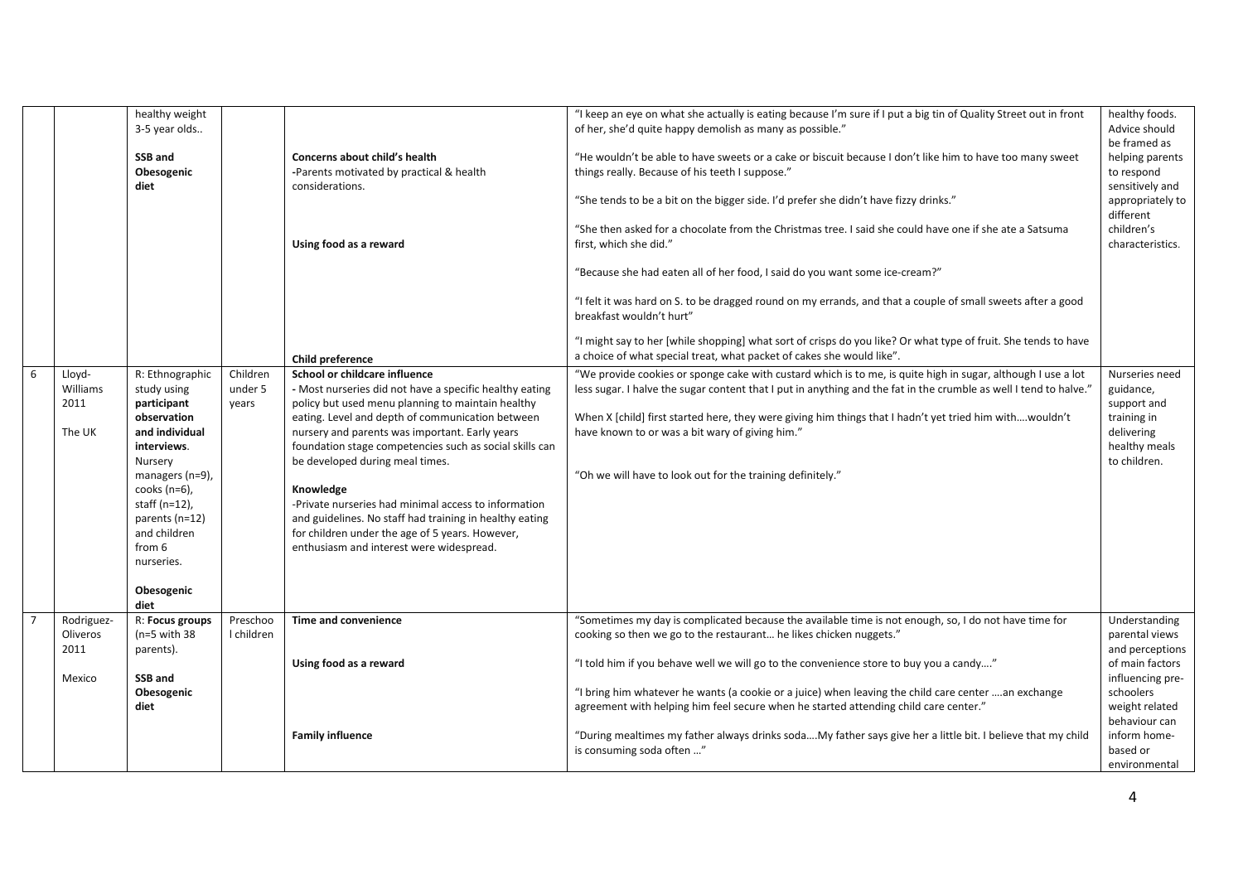|   |                                      | healthy weight<br>3-5 year olds<br>SSB and<br>Obesogenic<br>diet                                                                                                                                                                                   |                              | Concerns about child's health<br>-Parents motivated by practical & health<br>considerations.                                                                                                                                                                                                                                                                                                                                                                                                                                                                                     | "I keep an eye on what she actually is eating because I'm sure if I put a big tin of Quality Street out in front<br>of her, she'd quite happy demolish as many as possible."<br>"He wouldn't be able to have sweets or a cake or biscuit because I don't like him to have too many sweet<br>things really. Because of his teeth I suppose."<br>"She tends to be a bit on the bigger side. I'd prefer she didn't have fizzy drinks."                           | healthy foods.<br>Advice should<br>be framed as<br>helping parents<br>to respond<br>sensitively and<br>appropriately to<br>different |
|---|--------------------------------------|----------------------------------------------------------------------------------------------------------------------------------------------------------------------------------------------------------------------------------------------------|------------------------------|----------------------------------------------------------------------------------------------------------------------------------------------------------------------------------------------------------------------------------------------------------------------------------------------------------------------------------------------------------------------------------------------------------------------------------------------------------------------------------------------------------------------------------------------------------------------------------|---------------------------------------------------------------------------------------------------------------------------------------------------------------------------------------------------------------------------------------------------------------------------------------------------------------------------------------------------------------------------------------------------------------------------------------------------------------|--------------------------------------------------------------------------------------------------------------------------------------|
|   |                                      |                                                                                                                                                                                                                                                    |                              | Using food as a reward                                                                                                                                                                                                                                                                                                                                                                                                                                                                                                                                                           | "She then asked for a chocolate from the Christmas tree. I said she could have one if she ate a Satsuma<br>first, which she did."<br>"Because she had eaten all of her food, I said do you want some ice-cream?"<br>"I felt it was hard on S. to be dragged round on my errands, and that a couple of small sweets after a good<br>breakfast wouldn't hurt"                                                                                                   | children's<br>characteristics.                                                                                                       |
|   |                                      |                                                                                                                                                                                                                                                    |                              | Child preference                                                                                                                                                                                                                                                                                                                                                                                                                                                                                                                                                                 | "I might say to her [while shopping] what sort of crisps do you like? Or what type of fruit. She tends to have<br>a choice of what special treat, what packet of cakes she would like".                                                                                                                                                                                                                                                                       |                                                                                                                                      |
| 6 | Lloyd-<br>Williams<br>2011<br>The UK | R: Ethnographic<br>study using<br>participant<br>observation<br>and individual<br>interviews.<br>Nursery<br>managers (n=9),<br>cooks $(n=6)$ ,<br>staff $(n=12)$ ,<br>parents (n=12)<br>and children<br>from 6<br>nurseries.<br>Obesogenic<br>diet | Children<br>under 5<br>years | School or childcare influence<br>- Most nurseries did not have a specific healthy eating<br>policy but used menu planning to maintain healthy<br>eating. Level and depth of communication between<br>nursery and parents was important. Early years<br>foundation stage competencies such as social skills can<br>be developed during meal times.<br>Knowledge<br>-Private nurseries had minimal access to information<br>and guidelines. No staff had training in healthy eating<br>for children under the age of 5 years. However,<br>enthusiasm and interest were widespread. | "We provide cookies or sponge cake with custard which is to me, is quite high in sugar, although I use a lot<br>less sugar. I halve the sugar content that I put in anything and the fat in the crumble as well I tend to halve."<br>When X [child] first started here, they were giving him things that I hadn't yet tried him withwouldn't<br>have known to or was a bit wary of giving him."<br>"Oh we will have to look out for the training definitely." | Nurseries need<br>guidance,<br>support and<br>training in<br>delivering<br>healthy meals<br>to children.                             |
|   | Rodriguez-<br>Oliveros<br>2011       | R: Focus groups<br>$(n=5$ with 38<br>parents).                                                                                                                                                                                                     | Preschoo<br>I children       | Time and convenience                                                                                                                                                                                                                                                                                                                                                                                                                                                                                                                                                             | "Sometimes my day is complicated because the available time is not enough, so, I do not have time for<br>cooking so then we go to the restaurant he likes chicken nuggets."                                                                                                                                                                                                                                                                                   | Understanding<br>parental views<br>and perceptions                                                                                   |
|   | Mexico                               | SSB and                                                                                                                                                                                                                                            |                              | Using food as a reward                                                                                                                                                                                                                                                                                                                                                                                                                                                                                                                                                           | "I told him if you behave well we will go to the convenience store to buy you a candy"                                                                                                                                                                                                                                                                                                                                                                        | of main factors<br>influencing pre-                                                                                                  |
|   |                                      | Obesogenic<br>diet                                                                                                                                                                                                                                 |                              |                                                                                                                                                                                                                                                                                                                                                                                                                                                                                                                                                                                  | "I bring him whatever he wants (a cookie or a juice) when leaving the child care center an exchange<br>agreement with helping him feel secure when he started attending child care center."                                                                                                                                                                                                                                                                   | schoolers<br>weight related<br>behaviour can                                                                                         |
|   |                                      |                                                                                                                                                                                                                                                    |                              | <b>Family influence</b>                                                                                                                                                                                                                                                                                                                                                                                                                                                                                                                                                          | "During mealtimes my father always drinks sodaMy father says give her a little bit. I believe that my child<br>is consuming soda often "                                                                                                                                                                                                                                                                                                                      | inform home-<br>based or<br>environmental                                                                                            |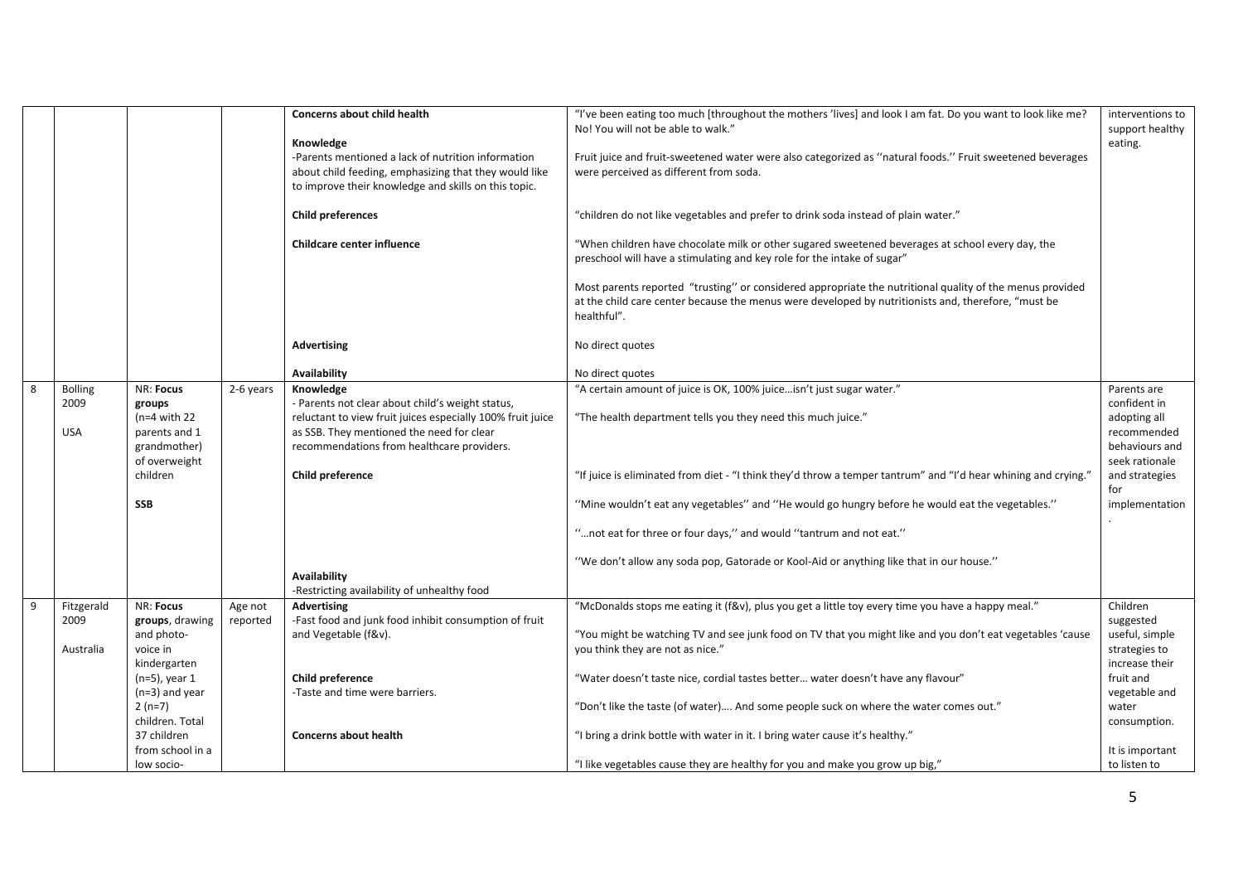|   |                |                                  |           | <b>Concerns about child health</b><br>Knowledge                                                                                                                     | "I've been eating too much [throughout the mothers 'lives] and look I am fat. Do you want to look like me?<br>No! You will not be able to walk."                                                                               | interventions to<br>support healthy<br>eating. |
|---|----------------|----------------------------------|-----------|---------------------------------------------------------------------------------------------------------------------------------------------------------------------|--------------------------------------------------------------------------------------------------------------------------------------------------------------------------------------------------------------------------------|------------------------------------------------|
|   |                |                                  |           | -Parents mentioned a lack of nutrition information<br>about child feeding, emphasizing that they would like<br>to improve their knowledge and skills on this topic. | Fruit juice and fruit-sweetened water were also categorized as "natural foods." Fruit sweetened beverages<br>were perceived as different from soda.                                                                            |                                                |
|   |                |                                  |           | <b>Child preferences</b>                                                                                                                                            | "children do not like vegetables and prefer to drink soda instead of plain water."                                                                                                                                             |                                                |
|   |                |                                  |           | Childcare center influence                                                                                                                                          | "When children have chocolate milk or other sugared sweetened beverages at school every day, the<br>preschool will have a stimulating and key role for the intake of sugar"                                                    |                                                |
|   |                |                                  |           |                                                                                                                                                                     | Most parents reported "trusting" or considered appropriate the nutritional quality of the menus provided<br>at the child care center because the menus were developed by nutritionists and, therefore, "must be<br>healthful". |                                                |
|   |                |                                  |           | <b>Advertising</b>                                                                                                                                                  | No direct quotes                                                                                                                                                                                                               |                                                |
|   |                |                                  |           | Availability                                                                                                                                                        | No direct quotes                                                                                                                                                                                                               |                                                |
| 8 | <b>Bolling</b> | NR: Focus                        | 2-6 years | Knowledge                                                                                                                                                           | "A certain amount of juice is OK, 100% juiceisn't just sugar water."                                                                                                                                                           | Parents are                                    |
|   | 2009           | groups                           |           | - Parents not clear about child's weight status,                                                                                                                    |                                                                                                                                                                                                                                | confident in                                   |
|   | <b>USA</b>     | $(n=4$ with 22                   |           | reluctant to view fruit juices especially 100% fruit juice<br>as SSB. They mentioned the need for clear                                                             | "The health department tells you they need this much juice."                                                                                                                                                                   | adopting all<br>recommended                    |
|   |                | parents and 1<br>grandmother)    |           | recommendations from healthcare providers.                                                                                                                          |                                                                                                                                                                                                                                | behaviours and                                 |
|   |                | of overweight                    |           |                                                                                                                                                                     |                                                                                                                                                                                                                                | seek rationale                                 |
|   |                | children                         |           | Child preference                                                                                                                                                    | "If juice is eliminated from diet - "I think they'd throw a temper tantrum" and "I'd hear whining and crying."                                                                                                                 | and strategies<br>for                          |
|   |                | <b>SSB</b>                       |           |                                                                                                                                                                     | "Mine wouldn't eat any vegetables" and "He would go hungry before he would eat the vegetables."                                                                                                                                | implementation                                 |
|   |                |                                  |           |                                                                                                                                                                     | " not eat for three or four days," and would "tantrum and not eat."                                                                                                                                                            |                                                |
|   |                |                                  |           |                                                                                                                                                                     | "We don't allow any soda pop, Gatorade or Kool-Aid or anything like that in our house."                                                                                                                                        |                                                |
|   |                |                                  |           | <b>Availability</b><br>-Restricting availability of unhealthy food                                                                                                  |                                                                                                                                                                                                                                |                                                |
| 9 | Fitzgerald     | NR: Focus                        | Age not   | <b>Advertising</b>                                                                                                                                                  | "McDonalds stops me eating it (f&v), plus you get a little toy every time you have a happy meal."                                                                                                                              | Children                                       |
|   | 2009           | groups, drawing                  | reported  | -Fast food and junk food inhibit consumption of fruit                                                                                                               |                                                                                                                                                                                                                                | suggested                                      |
|   |                | and photo-                       |           | and Vegetable (f&v).                                                                                                                                                | "You might be watching TV and see junk food on TV that you might like and you don't eat vegetables 'cause                                                                                                                      | useful, simple                                 |
|   | Australia      | voice in                         |           |                                                                                                                                                                     | you think they are not as nice."                                                                                                                                                                                               | strategies to                                  |
|   |                | kindergarten<br>$(n=5)$ , year 1 |           | Child preference                                                                                                                                                    | "Water doesn't taste nice, cordial tastes better water doesn't have any flavour"                                                                                                                                               | increase their<br>fruit and                    |
|   |                | $(n=3)$ and year                 |           | -Taste and time were barriers.                                                                                                                                      |                                                                                                                                                                                                                                | vegetable and                                  |
|   |                | $2(n=7)$                         |           |                                                                                                                                                                     | "Don't like the taste (of water) And some people suck on where the water comes out."                                                                                                                                           | water                                          |
|   |                | children. Total                  |           |                                                                                                                                                                     |                                                                                                                                                                                                                                | consumption.                                   |
|   |                | 37 children                      |           | <b>Concerns about health</b>                                                                                                                                        | "I bring a drink bottle with water in it. I bring water cause it's healthy."                                                                                                                                                   |                                                |
|   |                | from school in a                 |           |                                                                                                                                                                     |                                                                                                                                                                                                                                | It is important                                |
|   |                | low socio-                       |           |                                                                                                                                                                     | "I like vegetables cause they are healthy for you and make you grow up big,"                                                                                                                                                   | to listen to                                   |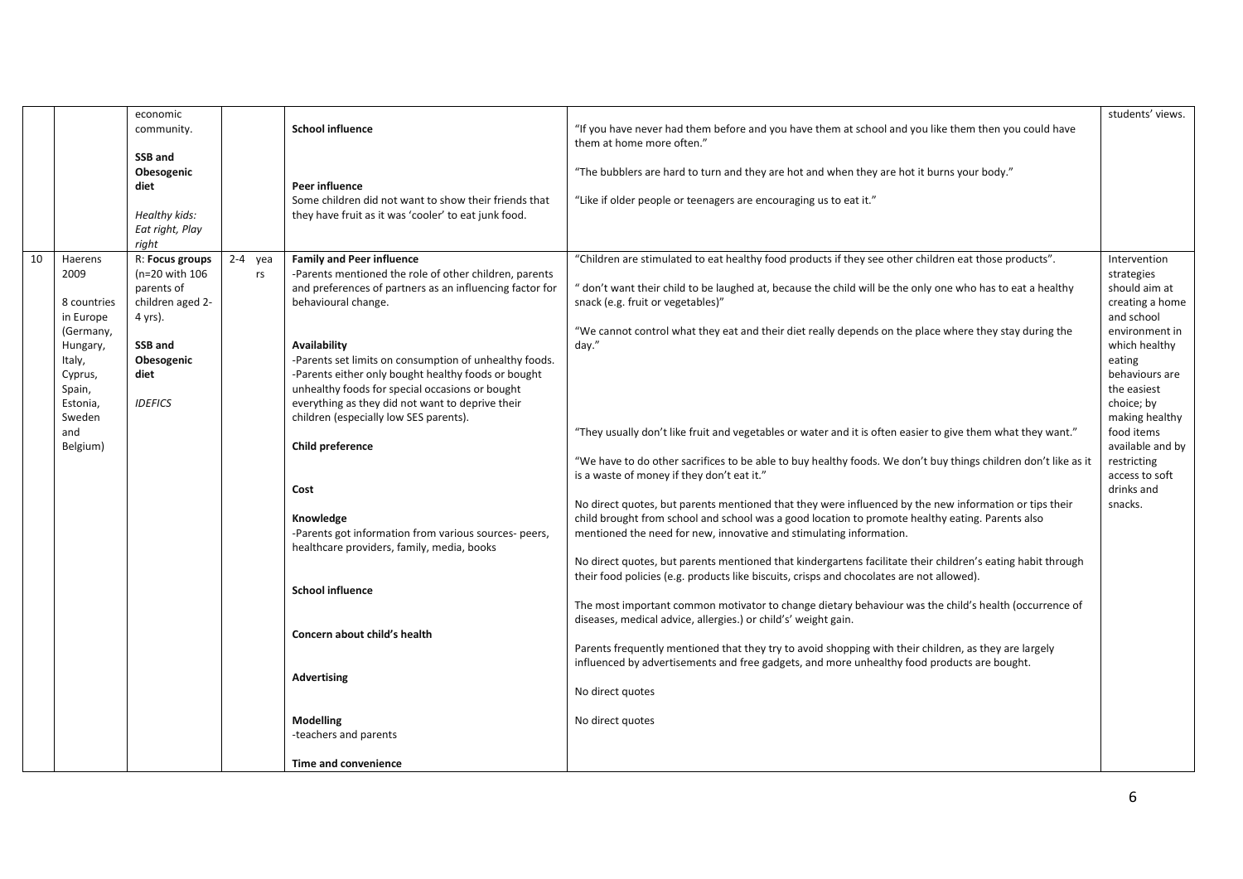|    |                              | economic                                  |                 |                                                                                                                                                                  |                                                                                                                                                                                                          | students' views.                               |
|----|------------------------------|-------------------------------------------|-----------------|------------------------------------------------------------------------------------------------------------------------------------------------------------------|----------------------------------------------------------------------------------------------------------------------------------------------------------------------------------------------------------|------------------------------------------------|
|    |                              | community.                                |                 | <b>School influence</b>                                                                                                                                          | "If you have never had them before and you have them at school and you like them then you could have<br>them at home more often."                                                                        |                                                |
|    |                              | SSB and<br>Obesogenic<br>diet             |                 | Peer influence                                                                                                                                                   | "The bubblers are hard to turn and they are hot and when they are hot it burns your body."                                                                                                               |                                                |
|    |                              | Healthy kids:                             |                 | Some children did not want to show their friends that<br>they have fruit as it was 'cooler' to eat junk food.                                                    | "Like if older people or teenagers are encouraging us to eat it."                                                                                                                                        |                                                |
|    |                              | Eat right, Play<br>right                  |                 |                                                                                                                                                                  |                                                                                                                                                                                                          |                                                |
| 10 | Haerens<br>2009              | R: Focus groups<br>(n=20 with 106         | $2-4$ yea<br>rs | <b>Family and Peer influence</b><br>-Parents mentioned the role of other children, parents                                                                       | "Children are stimulated to eat healthy food products if they see other children eat those products".                                                                                                    | Intervention<br>strategies                     |
|    | 8 countries<br>in Europe     | parents of<br>children aged 2-<br>4 yrs). |                 | and preferences of partners as an influencing factor for<br>behavioural change.                                                                                  | " don't want their child to be laughed at, because the child will be the only one who has to eat a healthy<br>snack (e.g. fruit or vegetables)"                                                          | should aim at<br>creating a home<br>and school |
|    | (Germany,<br>Hungary,        | SSB and                                   |                 | <b>Availability</b>                                                                                                                                              | "We cannot control what they eat and their diet really depends on the place where they stay during the<br>day."                                                                                          | environment in<br>which healthy                |
|    | Italy,<br>Cyprus,            | Obesogenic<br>diet                        |                 | -Parents set limits on consumption of unhealthy foods.<br>-Parents either only bought healthy foods or bought<br>unhealthy foods for special occasions or bought |                                                                                                                                                                                                          | eating<br>behaviours are<br>the easiest        |
|    | Spain,<br>Estonia,<br>Sweden | <b>IDEFICS</b>                            |                 | everything as they did not want to deprive their<br>children (especially low SES parents).                                                                       |                                                                                                                                                                                                          | choice; by<br>making healthy                   |
|    | and<br>Belgium)              |                                           |                 | Child preference                                                                                                                                                 | "They usually don't like fruit and vegetables or water and it is often easier to give them what they want."                                                                                              | food items<br>available and by                 |
|    |                              |                                           |                 |                                                                                                                                                                  | "We have to do other sacrifices to be able to buy healthy foods. We don't buy things children don't like as it<br>is a waste of money if they don't eat it."                                             | restricting<br>access to soft                  |
|    |                              |                                           |                 | Cost                                                                                                                                                             | No direct quotes, but parents mentioned that they were influenced by the new information or tips their                                                                                                   | drinks and<br>snacks.                          |
|    |                              |                                           |                 | Knowledge<br>-Parents got information from various sources- peers,<br>healthcare providers, family, media, books                                                 | child brought from school and school was a good location to promote healthy eating. Parents also<br>mentioned the need for new, innovative and stimulating information.                                  |                                                |
|    |                              |                                           |                 |                                                                                                                                                                  | No direct quotes, but parents mentioned that kindergartens facilitate their children's eating habit through<br>their food policies (e.g. products like biscuits, crisps and chocolates are not allowed). |                                                |
|    |                              |                                           |                 | <b>School influence</b>                                                                                                                                          | The most important common motivator to change dietary behaviour was the child's health (occurrence of<br>diseases, medical advice, allergies.) or child's' weight gain.                                  |                                                |
|    |                              |                                           |                 | Concern about child's health                                                                                                                                     | Parents frequently mentioned that they try to avoid shopping with their children, as they are largely                                                                                                    |                                                |
|    |                              |                                           |                 | Advertising                                                                                                                                                      | influenced by advertisements and free gadgets, and more unhealthy food products are bought.                                                                                                              |                                                |
|    |                              |                                           |                 |                                                                                                                                                                  | No direct quotes                                                                                                                                                                                         |                                                |
|    |                              |                                           |                 | <b>Modelling</b><br>-teachers and parents                                                                                                                        | No direct quotes                                                                                                                                                                                         |                                                |
|    |                              |                                           |                 | Time and convenience                                                                                                                                             |                                                                                                                                                                                                          |                                                |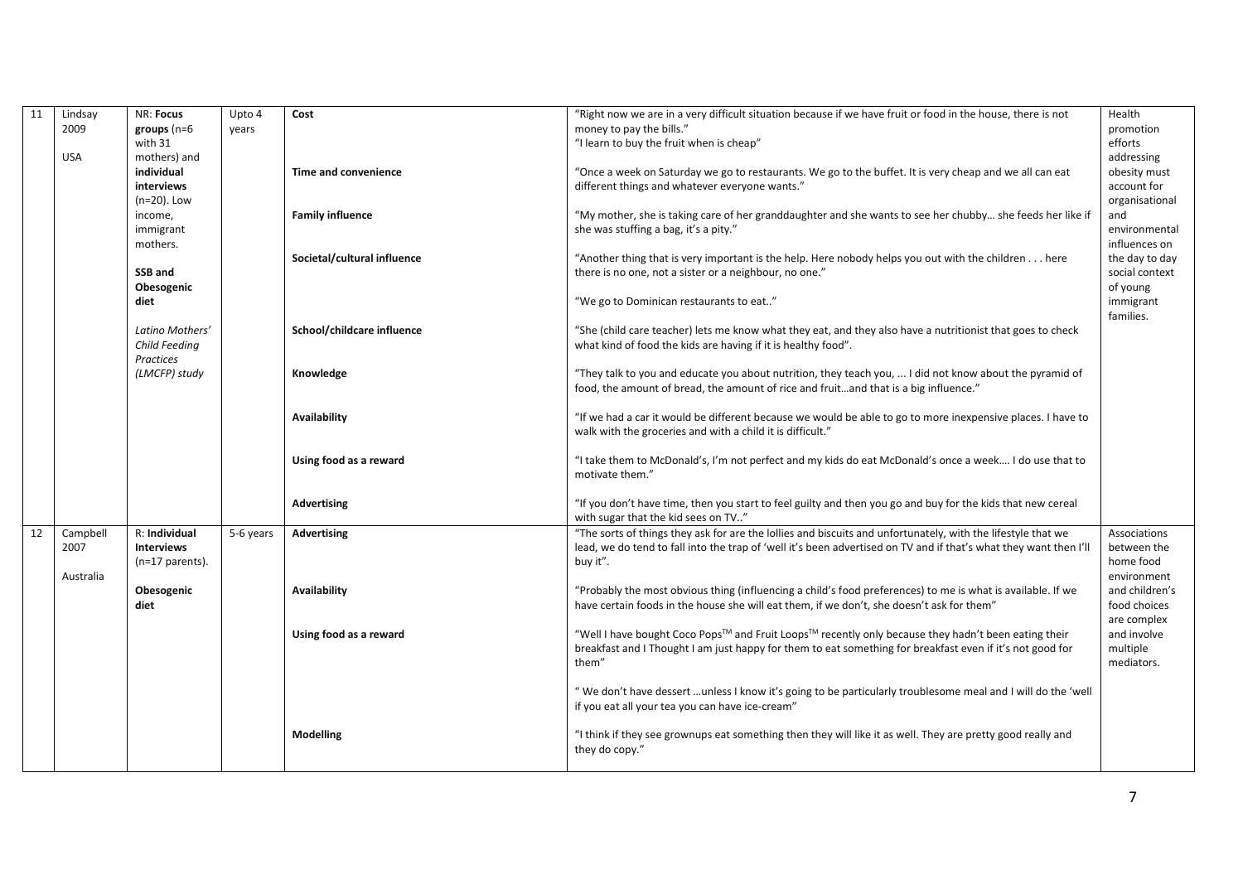| 11 | Lindsay    | NR: Focus         | Upto 4    | Cost                        | "Right now we are in a very difficult situation because if we have fruit or food in the house, there is not       | Health         |
|----|------------|-------------------|-----------|-----------------------------|-------------------------------------------------------------------------------------------------------------------|----------------|
|    | 2009       | $groups (n=6)$    | years     |                             | money to pay the bills."                                                                                          | promotion      |
|    |            | with 31           |           |                             | "I learn to buy the fruit when is cheap"                                                                          | efforts        |
|    | <b>USA</b> | mothers) and      |           |                             |                                                                                                                   | addressing     |
|    |            | individual        |           | <b>Time and convenience</b> | "Once a week on Saturday we go to restaurants. We go to the buffet. It is very cheap and we all can eat           | obesity must   |
|    |            | interviews        |           |                             | different things and whatever everyone wants."                                                                    | account for    |
|    |            | $(n=20)$ . Low    |           |                             |                                                                                                                   | organisational |
|    |            | income,           |           | <b>Family influence</b>     | "My mother, she is taking care of her granddaughter and she wants to see her chubby she feeds her like if         | and            |
|    |            | immigrant         |           |                             | she was stuffing a bag, it's a pity."                                                                             | environmental  |
|    |            | mothers.          |           |                             |                                                                                                                   | influences on  |
|    |            |                   |           | Societal/cultural influence | "Another thing that is very important is the help. Here nobody helps you out with the children here               | the day to day |
|    |            | SSB and           |           |                             | there is no one, not a sister or a neighbour, no one."                                                            | social context |
|    |            | Obesogenic        |           |                             |                                                                                                                   | of young       |
|    |            | diet              |           |                             | "We go to Dominican restaurants to eat"                                                                           | immigrant      |
|    |            |                   |           |                             |                                                                                                                   | families.      |
|    |            | Latino Mothers'   |           | School/childcare influence  | "She (child care teacher) lets me know what they eat, and they also have a nutritionist that goes to check        |                |
|    |            | Child Feeding     |           |                             | what kind of food the kids are having if it is healthy food".                                                     |                |
|    |            | <b>Practices</b>  |           |                             |                                                                                                                   |                |
|    |            | (LMCFP) study     |           | Knowledge                   | "They talk to you and educate you about nutrition, they teach you,  I did not know about the pyramid of           |                |
|    |            |                   |           |                             | food, the amount of bread, the amount of rice and fruitand that is a big influence."                              |                |
|    |            |                   |           |                             |                                                                                                                   |                |
|    |            |                   |           | Availability                | "If we had a car it would be different because we would be able to go to more inexpensive places. I have to       |                |
|    |            |                   |           |                             | walk with the groceries and with a child it is difficult."                                                        |                |
|    |            |                   |           |                             |                                                                                                                   |                |
|    |            |                   |           | Using food as a reward      | "I take them to McDonald's, I'm not perfect and my kids do eat McDonald's once a week I do use that to            |                |
|    |            |                   |           |                             | motivate them."                                                                                                   |                |
|    |            |                   |           |                             |                                                                                                                   |                |
|    |            |                   |           |                             | "If you don't have time, then you start to feel guilty and then you go and buy for the kids that new cereal       |                |
|    |            |                   |           | Advertising                 | with sugar that the kid sees on TV"                                                                               |                |
|    |            |                   |           |                             |                                                                                                                   |                |
| 12 | Campbell   | R: Individual     | 5-6 years | Advertising                 | "The sorts of things they ask for are the lollies and biscuits and unfortunately, with the lifestyle that we      | Associations   |
|    | 2007       | <b>Interviews</b> |           |                             | lead, we do tend to fall into the trap of 'well it's been advertised on TV and if that's what they want then I'll | between the    |
|    |            | $(n=17$ parents). |           |                             | buy it".                                                                                                          | home food      |
|    | Australia  |                   |           |                             |                                                                                                                   | environment    |
|    |            | Obesogenic        |           | <b>Availability</b>         | "Probably the most obvious thing (influencing a child's food preferences) to me is what is available. If we       | and children's |
|    |            | diet              |           |                             | have certain foods in the house she will eat them, if we don't, she doesn't ask for them"                         | food choices   |
|    |            |                   |           |                             |                                                                                                                   | are complex    |
|    |            |                   |           | Using food as a reward      | "Well I have bought Coco Pops™ and Fruit Loops™ recently only because they hadn't been eating their               | and involve    |
|    |            |                   |           |                             | breakfast and I Thought I am just happy for them to eat something for breakfast even if it's not good for         | multiple       |
|    |            |                   |           |                             | them"                                                                                                             | mediators.     |
|    |            |                   |           |                             |                                                                                                                   |                |
|    |            |                   |           |                             | "We don't have dessert unless I know it's going to be particularly troublesome meal and I will do the 'well       |                |
|    |            |                   |           |                             | if you eat all your tea you can have ice-cream"                                                                   |                |
|    |            |                   |           |                             |                                                                                                                   |                |
|    |            |                   |           | <b>Modelling</b>            | "I think if they see grownups eat something then they will like it as well. They are pretty good really and       |                |
|    |            |                   |           |                             | they do copy."                                                                                                    |                |
|    |            |                   |           |                             |                                                                                                                   |                |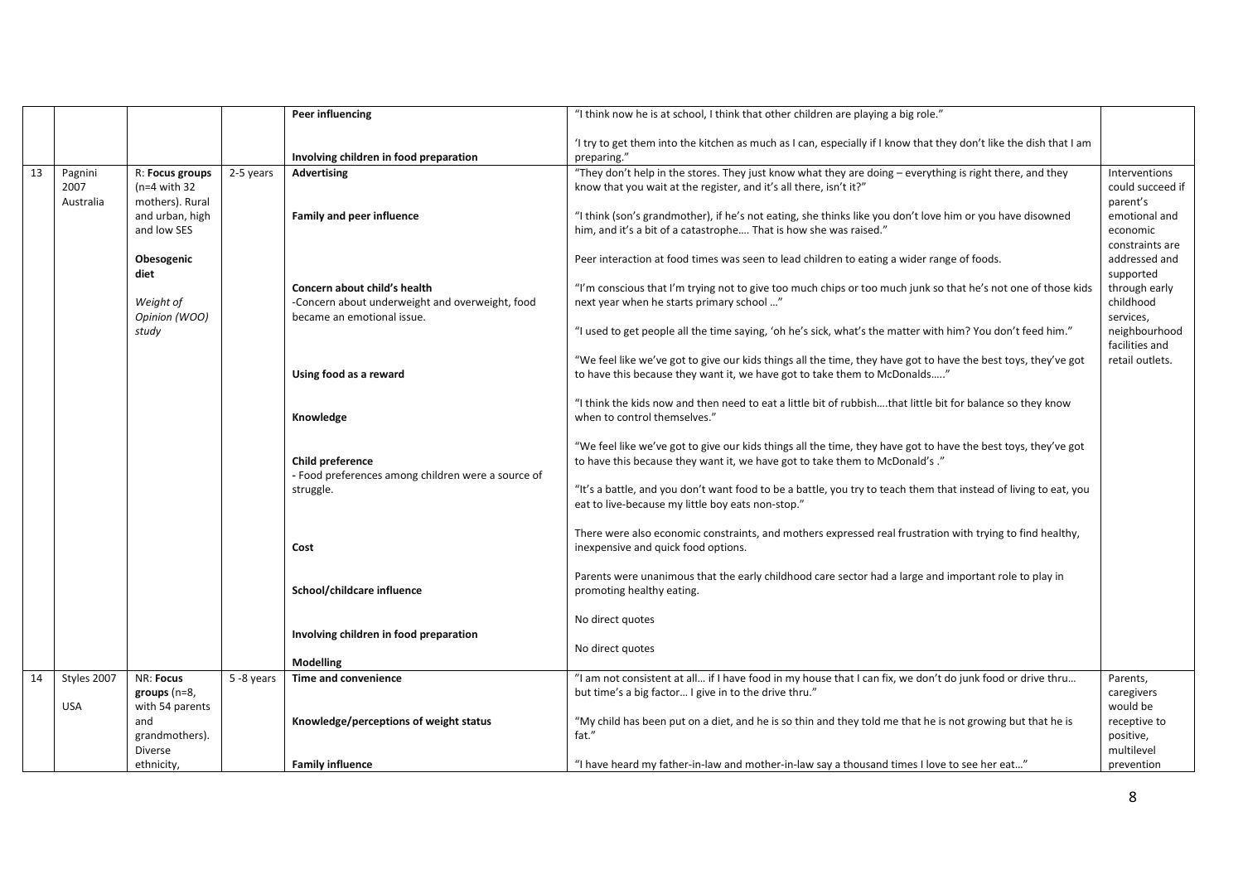|    |             |                 |            | Peer influencing                                   | "I think now he is at school, I think that other children are playing a big role."                                                         |                  |
|----|-------------|-----------------|------------|----------------------------------------------------|--------------------------------------------------------------------------------------------------------------------------------------------|------------------|
|    |             |                 |            |                                                    |                                                                                                                                            |                  |
|    |             |                 |            |                                                    | If try to get them into the kitchen as much as I can, especially if I know that they don't like the dish that I am                         |                  |
|    |             |                 |            | Involving children in food preparation             | preparing."                                                                                                                                |                  |
| 13 | Pagnini     | R: Focus groups | 2-5 years  | <b>Advertising</b>                                 | "They don't help in the stores. They just know what they are doing - everything is right there, and they                                   | Interventions    |
|    | 2007        | $(n=4$ with 32  |            |                                                    | know that you wait at the register, and it's all there, isn't it?"                                                                         | could succeed if |
|    | Australia   | mothers). Rural |            |                                                    |                                                                                                                                            | parent's         |
|    |             | and urban, high |            | <b>Family and peer influence</b>                   | "I think (son's grandmother), if he's not eating, she thinks like you don't love him or you have disowned                                  | emotional and    |
|    |             | and low SES     |            |                                                    | him, and it's a bit of a catastrophe That is how she was raised."                                                                          | economic         |
|    |             |                 |            |                                                    |                                                                                                                                            | constraints are  |
|    |             | Obesogenic      |            |                                                    | Peer interaction at food times was seen to lead children to eating a wider range of foods.                                                 | addressed and    |
|    |             | diet            |            |                                                    |                                                                                                                                            | supported        |
|    |             |                 |            | Concern about child's health                       | "I'm conscious that I'm trying not to give too much chips or too much junk so that he's not one of those kids                              | through early    |
|    |             | Weight of       |            | -Concern about underweight and overweight, food    | next year when he starts primary school "                                                                                                  | childhood        |
|    |             | Opinion (WOO)   |            | became an emotional issue.                         |                                                                                                                                            | services,        |
|    |             | study           |            |                                                    | "I used to get people all the time saying, 'oh he's sick, what's the matter with him? You don't feed him."                                 | neighbourhood    |
|    |             |                 |            |                                                    |                                                                                                                                            | facilities and   |
|    |             |                 |            |                                                    | "We feel like we've got to give our kids things all the time, they have got to have the best toys, they've got                             | retail outlets.  |
|    |             |                 |            | Using food as a reward                             | to have this because they want it, we have got to take them to McDonalds"                                                                  |                  |
|    |             |                 |            |                                                    |                                                                                                                                            |                  |
|    |             |                 |            |                                                    | "I think the kids now and then need to eat a little bit of rubbishthat little bit for balance so they know<br>when to control themselves." |                  |
|    |             |                 |            | Knowledge                                          |                                                                                                                                            |                  |
|    |             |                 |            |                                                    | "We feel like we've got to give our kids things all the time, they have got to have the best toys, they've got                             |                  |
|    |             |                 |            | Child preference                                   | to have this because they want it, we have got to take them to McDonald's."                                                                |                  |
|    |             |                 |            | - Food preferences among children were a source of |                                                                                                                                            |                  |
|    |             |                 |            | struggle.                                          | "It's a battle, and you don't want food to be a battle, you try to teach them that instead of living to eat, you                           |                  |
|    |             |                 |            |                                                    | eat to live-because my little boy eats non-stop."                                                                                          |                  |
|    |             |                 |            |                                                    |                                                                                                                                            |                  |
|    |             |                 |            |                                                    | There were also economic constraints, and mothers expressed real frustration with trying to find healthy,                                  |                  |
|    |             |                 |            | Cost                                               | inexpensive and quick food options.                                                                                                        |                  |
|    |             |                 |            |                                                    |                                                                                                                                            |                  |
|    |             |                 |            |                                                    | Parents were unanimous that the early childhood care sector had a large and important role to play in                                      |                  |
|    |             |                 |            | School/childcare influence                         | promoting healthy eating.                                                                                                                  |                  |
|    |             |                 |            |                                                    |                                                                                                                                            |                  |
|    |             |                 |            |                                                    | No direct quotes                                                                                                                           |                  |
|    |             |                 |            | Involving children in food preparation             |                                                                                                                                            |                  |
|    |             |                 |            |                                                    | No direct quotes                                                                                                                           |                  |
|    |             |                 |            | <b>Modelling</b>                                   |                                                                                                                                            |                  |
| 14 | Styles 2007 | NR: Focus       | 5 -8 years | Time and convenience                               | "I am not consistent at all if I have food in my house that I can fix, we don't do junk food or drive thru                                 | Parents,         |
|    |             | groups (n=8,    |            |                                                    | but time's a big factor I give in to the drive thru."                                                                                      | caregivers       |
|    | <b>USA</b>  | with 54 parents |            |                                                    |                                                                                                                                            | would be         |
|    |             | and             |            | Knowledge/perceptions of weight status             | "My child has been put on a diet, and he is so thin and they told me that he is not growing but that he is                                 | receptive to     |
|    |             | grandmothers).  |            |                                                    | fat."                                                                                                                                      | positive,        |
|    |             | <b>Diverse</b>  |            |                                                    |                                                                                                                                            | multilevel       |
|    |             | ethnicity,      |            | <b>Family influence</b>                            | "I have heard my father-in-law and mother-in-law say a thousand times I love to see her eat"                                               | prevention       |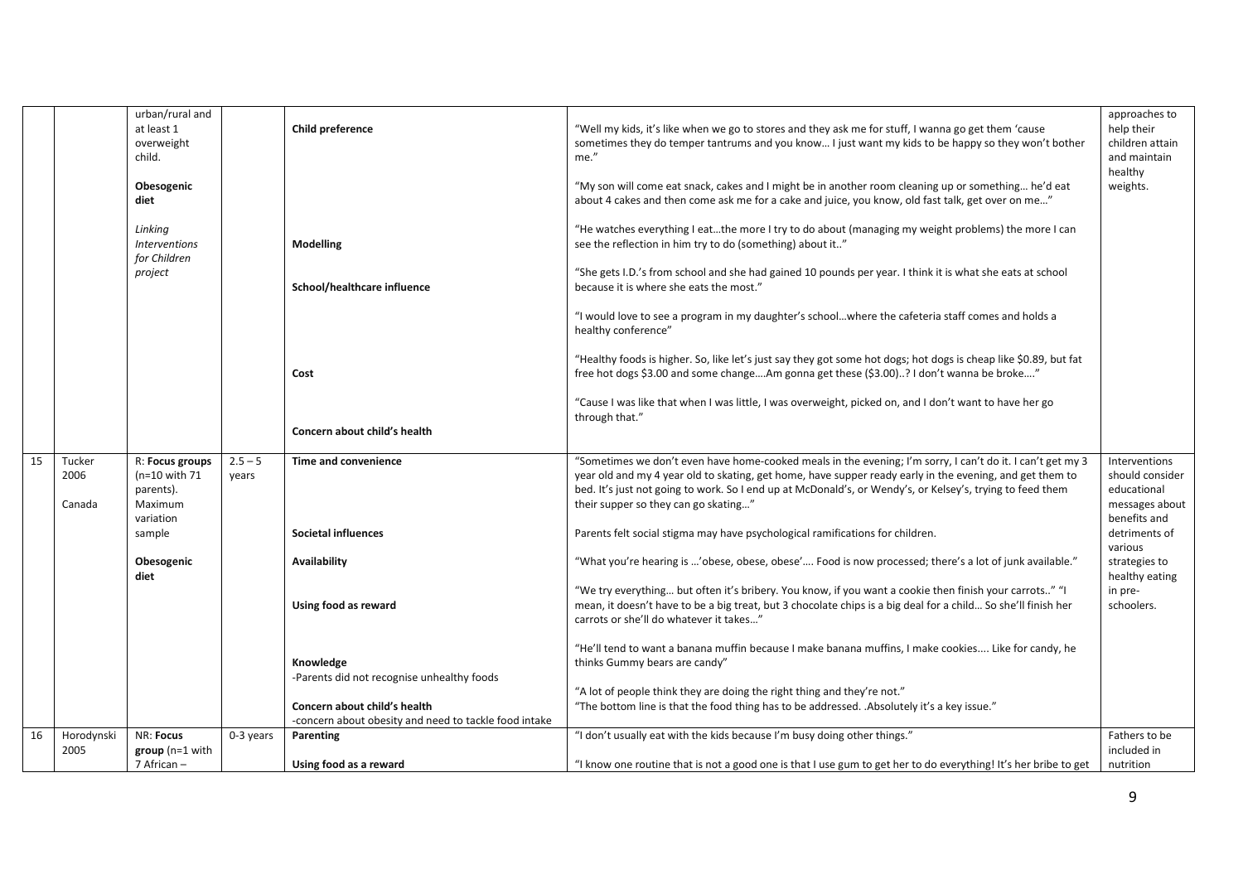|    |                    | urban/rural and<br>at least 1                   |             | Child preference                                      | "Well my kids, it's like when we go to stores and they ask me for stuff, I wanna go get them 'cause                                                                                                                                                                | approaches to<br>help their                |
|----|--------------------|-------------------------------------------------|-------------|-------------------------------------------------------|--------------------------------------------------------------------------------------------------------------------------------------------------------------------------------------------------------------------------------------------------------------------|--------------------------------------------|
|    |                    | overweight<br>child.                            |             |                                                       | sometimes they do temper tantrums and you know I just want my kids to be happy so they won't bother<br>me."                                                                                                                                                        | children attain<br>and maintain<br>healthy |
|    |                    | Obesogenic<br>diet                              |             |                                                       | "My son will come eat snack, cakes and I might be in another room cleaning up or something he'd eat<br>about 4 cakes and then come ask me for a cake and juice, you know, old fast talk, get over on me"                                                           | weights.                                   |
|    |                    | Linking<br><b>Interventions</b><br>for Children |             | Modelling                                             | "He watches everything I eatthe more I try to do about (managing my weight problems) the more I can<br>see the reflection in him try to do (something) about it"                                                                                                   |                                            |
|    |                    | project                                         |             | School/healthcare influence                           | "She gets I.D.'s from school and she had gained 10 pounds per year. I think it is what she eats at school<br>because it is where she eats the most."                                                                                                               |                                            |
|    |                    |                                                 |             |                                                       | "I would love to see a program in my daughter's schoolwhere the cafeteria staff comes and holds a<br>healthy conference"                                                                                                                                           |                                            |
|    |                    |                                                 |             | Cost                                                  | "Healthy foods is higher. So, like let's just say they got some hot dogs; hot dogs is cheap like \$0.89, but fat<br>free hot dogs \$3.00 and some changeAm gonna get these (\$3.00)? I don't wanna be broke"                                                       |                                            |
|    |                    |                                                 |             | Concern about child's health                          | "Cause I was like that when I was little, I was overweight, picked on, and I don't want to have her go<br>through that."                                                                                                                                           |                                            |
|    |                    |                                                 |             |                                                       |                                                                                                                                                                                                                                                                    |                                            |
| 15 | Tucker<br>2006     | R: Focus groups<br>$(n=10$ with 71              | $2.5 - 5$   | Time and convenience                                  | "Sometimes we don't even have home-cooked meals in the evening; I'm sorry, I can't do it. I can't get my 3<br>year old and my 4 year old to skating, get home, have supper ready early in the evening, and get them to                                             | Interventions<br>should consider           |
|    |                    | parents).                                       | years       |                                                       | bed. It's just not going to work. So I end up at McDonald's, or Wendy's, or Kelsey's, trying to feed them                                                                                                                                                          | educational                                |
|    | Canada             | Maximum                                         |             |                                                       | their supper so they can go skating"                                                                                                                                                                                                                               | messages about                             |
|    |                    | variation<br>sample                             |             | <b>Societal influences</b>                            | Parents felt social stigma may have psychological ramifications for children.                                                                                                                                                                                      | benefits and<br>detriments of<br>various   |
|    |                    | Obesogenic<br>diet                              |             | Availability                                          | "What you're hearing is 'obese, obese, obese' Food is now processed; there's a lot of junk available."                                                                                                                                                             | strategies to<br>healthy eating            |
|    |                    |                                                 |             | Using food as reward                                  | "We try everything but often it's bribery. You know, if you want a cookie then finish your carrots" "I<br>mean, it doesn't have to be a big treat, but 3 chocolate chips is a big deal for a child So she'll finish her<br>carrots or she'll do whatever it takes" | in pre-<br>schoolers.                      |
|    |                    |                                                 |             | Knowledge                                             | "He'll tend to want a banana muffin because I make banana muffins, I make cookies Like for candy, he<br>thinks Gummy bears are candy"                                                                                                                              |                                            |
|    |                    |                                                 |             | -Parents did not recognise unhealthy foods            | "A lot of people think they are doing the right thing and they're not."                                                                                                                                                                                            |                                            |
|    |                    |                                                 |             | Concern about child's health                          | "The bottom line is that the food thing has to be addressed. . Absolutely it's a key issue."                                                                                                                                                                       |                                            |
|    |                    |                                                 |             | -concern about obesity and need to tackle food intake |                                                                                                                                                                                                                                                                    |                                            |
| 16 | Horodynski<br>2005 | NR: Focus<br>$group(n=1 with$                   | $0-3$ years | Parenting                                             | "I don't usually eat with the kids because I'm busy doing other things."                                                                                                                                                                                           | Fathers to be<br>included in               |
|    |                    | 7 African -                                     |             | Using food as a reward                                | "I know one routine that is not a good one is that I use gum to get her to do everything! It's her bribe to get                                                                                                                                                    | nutrition                                  |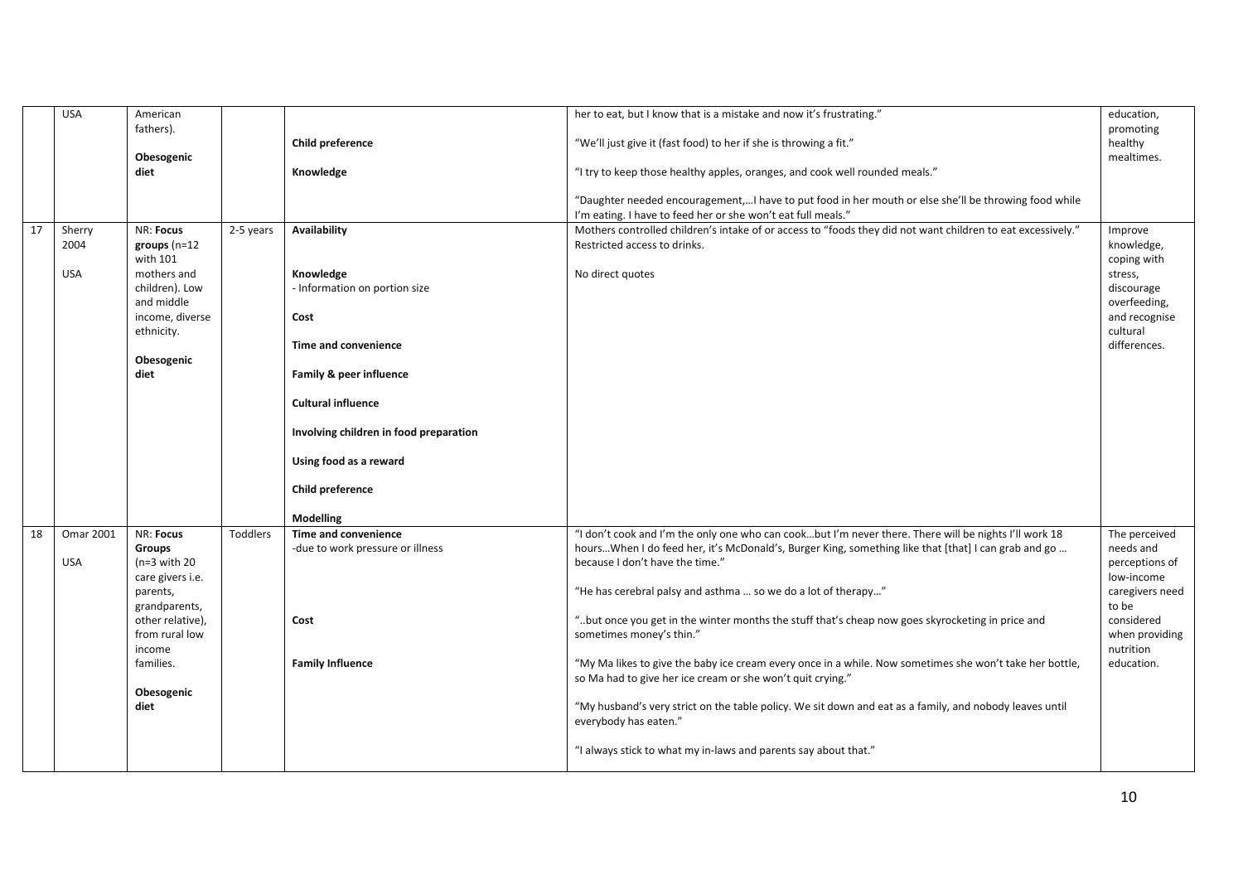|    | <b>USA</b>       | American         |           |                                        | her to eat, but I know that is a mistake and now it's frustrating."                                         | education,      |
|----|------------------|------------------|-----------|----------------------------------------|-------------------------------------------------------------------------------------------------------------|-----------------|
|    |                  | fathers).        |           |                                        |                                                                                                             | promoting       |
|    |                  |                  |           | Child preference                       | "We'll just give it (fast food) to her if she is throwing a fit."                                           | healthy         |
|    |                  | Obesogenic       |           |                                        |                                                                                                             | mealtimes.      |
|    |                  |                  |           |                                        |                                                                                                             |                 |
|    |                  | diet             |           | Knowledge                              | "I try to keep those healthy apples, oranges, and cook well rounded meals."                                 |                 |
|    |                  |                  |           |                                        |                                                                                                             |                 |
|    |                  |                  |           |                                        | "Daughter needed encouragement,I have to put food in her mouth or else she'll be throwing food while        |                 |
|    |                  |                  |           |                                        | I'm eating. I have to feed her or she won't eat full meals."                                                |                 |
| 17 | Sherry           | NR: Focus        | 2-5 years | Availability                           | Mothers controlled children's intake of or access to "foods they did not want children to eat excessively." | Improve         |
|    | 2004             | groups $(n=12)$  |           |                                        | Restricted access to drinks.                                                                                | knowledge,      |
|    |                  | with 101         |           |                                        |                                                                                                             | coping with     |
|    |                  |                  |           |                                        |                                                                                                             |                 |
|    | USA              | mothers and      |           | Knowledge                              | No direct quotes                                                                                            | stress,         |
|    |                  | children). Low   |           | - Information on portion size          |                                                                                                             | discourage      |
|    |                  | and middle       |           |                                        |                                                                                                             | overfeeding,    |
|    |                  | income, diverse  |           | Cost                                   |                                                                                                             | and recognise   |
|    |                  | ethnicity.       |           |                                        |                                                                                                             | cultural        |
|    |                  |                  |           | Time and convenience                   |                                                                                                             | differences.    |
|    |                  | Obesogenic       |           |                                        |                                                                                                             |                 |
|    |                  | diet             |           | Family & peer influence                |                                                                                                             |                 |
|    |                  |                  |           |                                        |                                                                                                             |                 |
|    |                  |                  |           |                                        |                                                                                                             |                 |
|    |                  |                  |           | <b>Cultural influence</b>              |                                                                                                             |                 |
|    |                  |                  |           |                                        |                                                                                                             |                 |
|    |                  |                  |           | Involving children in food preparation |                                                                                                             |                 |
|    |                  |                  |           |                                        |                                                                                                             |                 |
|    |                  |                  |           | Using food as a reward                 |                                                                                                             |                 |
|    |                  |                  |           |                                        |                                                                                                             |                 |
|    |                  |                  |           | Child preference                       |                                                                                                             |                 |
|    |                  |                  |           |                                        |                                                                                                             |                 |
|    |                  |                  |           |                                        |                                                                                                             |                 |
|    |                  |                  |           | Modelling                              |                                                                                                             |                 |
| 18 | <b>Omar 2001</b> | NR: Focus        | Toddlers  | Time and convenience                   | "I don't cook and I'm the only one who can cookbut I'm never there. There will be nights I'll work 18       | The perceived   |
|    |                  | Groups           |           | -due to work pressure or illness       | hoursWhen I do feed her, it's McDonald's, Burger King, something like that [that] I can grab and go         | needs and       |
|    | <b>USA</b>       | $(n=3$ with 20   |           |                                        | because I don't have the time."                                                                             | perceptions of  |
|    |                  | care givers i.e. |           |                                        |                                                                                                             | low-income      |
|    |                  | parents,         |           |                                        | "He has cerebral palsy and asthma  so we do a lot of therapy"                                               | caregivers need |
|    |                  | grandparents,    |           |                                        |                                                                                                             | to be           |
|    |                  |                  |           |                                        |                                                                                                             | considered      |
|    |                  | other relative), |           | Cost                                   | "but once you get in the winter months the stuff that's cheap now goes skyrocketing in price and            |                 |
|    |                  | from rural low   |           |                                        | sometimes money's thin."                                                                                    | when providing  |
|    |                  | income           |           |                                        |                                                                                                             | nutrition       |
|    |                  | families.        |           | <b>Family Influence</b>                | "My Ma likes to give the baby ice cream every once in a while. Now sometimes she won't take her bottle,     | education.      |
|    |                  |                  |           |                                        | so Ma had to give her ice cream or she won't quit crying."                                                  |                 |
|    |                  | Obesogenic       |           |                                        |                                                                                                             |                 |
|    |                  | diet             |           |                                        | "My husband's very strict on the table policy. We sit down and eat as a family, and nobody leaves until     |                 |
|    |                  |                  |           |                                        | everybody has eaten."                                                                                       |                 |
|    |                  |                  |           |                                        |                                                                                                             |                 |
|    |                  |                  |           |                                        |                                                                                                             |                 |
|    |                  |                  |           |                                        | "I always stick to what my in-laws and parents say about that."                                             |                 |
|    |                  |                  |           |                                        |                                                                                                             |                 |